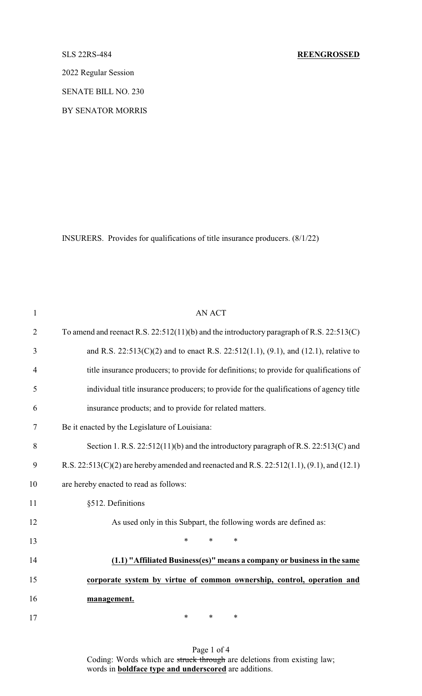2022 Regular Session

SENATE BILL NO. 230

BY SENATOR MORRIS

INSURERS. Provides for qualifications of title insurance producers. (8/1/22)

| $\mathbf{1}$   | <b>AN ACT</b>                                                                                  |
|----------------|------------------------------------------------------------------------------------------------|
| $\overline{2}$ | To amend and reenact R.S. $22:512(11)(b)$ and the introductory paragraph of R.S. $22:513(C)$   |
| 3              | and R.S. $22:513(C)(2)$ and to enact R.S. $22:512(1.1)$ , $(9.1)$ , and $(12.1)$ , relative to |
| $\overline{4}$ | title insurance producers; to provide for definitions; to provide for qualifications of        |
| 5              | individual title insurance producers; to provide for the qualifications of agency title        |
| 6              | insurance products; and to provide for related matters.                                        |
| 7              | Be it enacted by the Legislature of Louisiana:                                                 |
| 8              | Section 1. R.S. 22:512(11)(b) and the introductory paragraph of R.S. 22:513(C) and             |
| 9              | R.S. 22:513(C)(2) are hereby amended and reenacted and R.S. 22:512(1.1), (9.1), and (12.1)     |
| 10             | are hereby enacted to read as follows:                                                         |
| 11             | §512. Definitions                                                                              |
| 12             | As used only in this Subpart, the following words are defined as:                              |
| 13             | $\ast$<br>$\ast$<br>∗                                                                          |
| 14             | (1.1) "Affiliated Business(es)" means a company or business in the same                        |
| 15             | corporate system by virtue of common ownership, control, operation and                         |
| 16             | management.                                                                                    |
| 17             | $\ast$<br>*<br>∗                                                                               |

Page 1 of 4 Coding: Words which are struck through are deletions from existing law; words in **boldface type and underscored** are additions.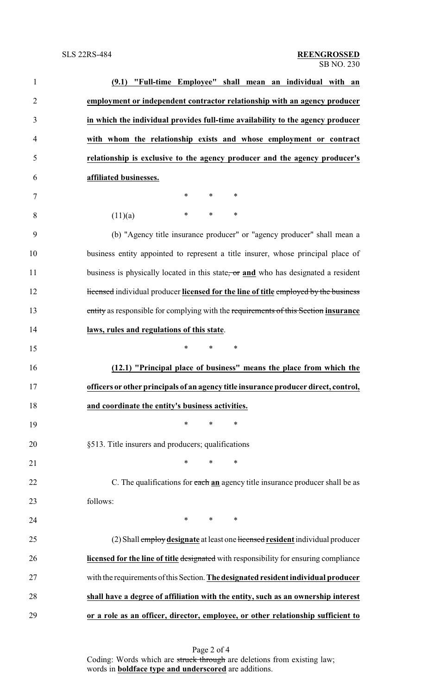| $\mathbf{1}$   | (9.1) "Full-time Employee" shall mean an individual with an                           |
|----------------|---------------------------------------------------------------------------------------|
| $\overline{2}$ | employment or independent contractor relationship with an agency producer             |
| 3              | in which the individual provides full-time availability to the agency producer        |
| $\overline{4}$ | with whom the relationship exists and whose employment or contract                    |
| 5              | relationship is exclusive to the agency producer and the agency producer's            |
| 6              | affiliated businesses.                                                                |
| 7              | $\ast$<br>$\ast$<br>∗                                                                 |
| 8              | $\ast$<br>*<br>∗<br>(11)(a)                                                           |
| 9              | (b) "Agency title insurance producer" or "agency producer" shall mean a               |
| 10             | business entity appointed to represent a title insurer, whose principal place of      |
| 11             | business is physically located in this state, or and who has designated a resident    |
| 12             | Hicensed individual producer licensed for the line of title employed by the business  |
| 13             | entity as responsible for complying with the requirements of this Section insurance   |
| 14             | laws, rules and regulations of this state.                                            |
| 15             | *<br>*<br>∗                                                                           |
| 16             | (12.1) "Principal place of business" means the place from which the                   |
| 17             | officers or other principals of an agency title insurance producer direct, control,   |
| 18             | and coordinate the entity's business activities.                                      |
| 19             | *<br>*<br>∗                                                                           |
| 20             | §513. Title insurers and producers; qualifications                                    |
| 21             | *<br>∗<br>∗                                                                           |
| 22             | C. The qualifications for each an agency title insurance producer shall be as         |
| 23             | follows:                                                                              |
| 24             | $\ast$<br>$\ast$<br>∗                                                                 |
| 25             | (2) Shall employ designate at least one licensed resident individual producer         |
| 26             | licensed for the line of title designated with responsibility for ensuring compliance |
| 27             | with the requirements of this Section. The designated resident individual producer    |
| 28             | shall have a degree of affiliation with the entity, such as an ownership interest     |
| 29             | or a role as an officer, director, employee, or other relationship sufficient to      |

Page 2 of 4 Coding: Words which are struck through are deletions from existing law; words in **boldface type and underscored** are additions.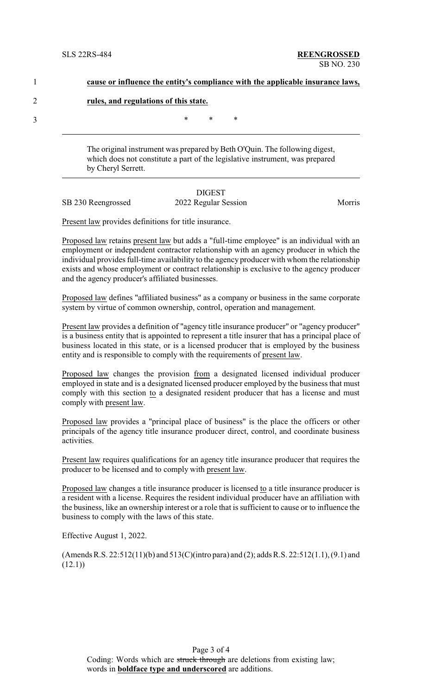| cause or influence the entity's compliance with the applicable insurance laws, |
|--------------------------------------------------------------------------------|
| rules, and regulations of this state.                                          |

3  $*$  \* \* \*

The original instrument was prepared by Beth O'Quin. The following digest, which does not constitute a part of the legislative instrument, was prepared by Cheryl Serrett.

### DIGEST SB 230 Reengrossed 2022 Regular Session Morris

Present law provides definitions for title insurance.

Proposed law retains present law but adds a "full-time employee" is an individual with an employment or independent contractor relationship with an agency producer in which the individual provides full-time availability to the agency producer with whom the relationship exists and whose employment or contract relationship is exclusive to the agency producer and the agency producer's affiliated businesses.

Proposed law defines "affiliated business" as a company or business in the same corporate system by virtue of common ownership, control, operation and management.

Present law provides a definition of "agency title insurance producer" or "agency producer" is a business entity that is appointed to represent a title insurer that has a principal place of business located in this state, or is a licensed producer that is employed by the business entity and is responsible to comply with the requirements of present law.

Proposed law changes the provision from a designated licensed individual producer employed in state and is a designated licensed producer employed by the business that must comply with this section to a designated resident producer that has a license and must comply with present law.

Proposed law provides a "principal place of business" is the place the officers or other principals of the agency title insurance producer direct, control, and coordinate business activities.

Present law requires qualifications for an agency title insurance producer that requires the producer to be licensed and to comply with present law.

Proposed law changes a title insurance producer is licensed to a title insurance producer is a resident with a license. Requires the resident individual producer have an affiliation with the business, like an ownership interest or a role that is sufficient to cause or to influence the business to comply with the laws of this state.

Effective August 1, 2022.

(Amends R.S. 22:512(11)(b) and 513(C)(intro para) and (2); adds R.S. 22:512(1.1), (9.1) and  $(12.1)$